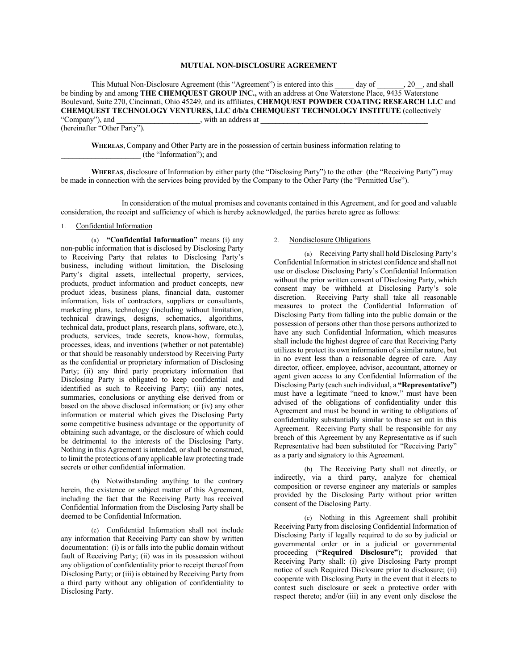#### **MUTUAL NON-DISCLOSURE AGREEMENT**

This Mutual Non-Disclosure Agreement (this "Agreement") is entered into this day of , 20, and shall be binding by and among **THE CHEMQUEST GROUP INC.**, with an address at One Waterstone Place, 9435 Waterstone Boulevard, Suite 270, Cincinnati, Ohio 45249, and its affiliates, **CHEMQUEST POWDER COATING RESEARCH LLC** and **CHEMQUEST TECHNOLOGY VENTURES, LLC d/b/a CHEMQUEST TECHNOLOGY INSTITUTE (collectively** "Company"), and , with an address at with an address at

(hereinafter "Other Party").

**WHEREAS**, Company and Other Party are in the possession of certain business information relating to \_\_\_\_\_\_\_\_\_\_\_\_\_\_\_\_\_\_\_\_\_ (the "Information"); and

**WHEREAS**, disclosure of Information by either party (the "Disclosing Party") to the other (the "Receiving Party") may be made in connection with the services being provided by the Company to the Other Party (the "Permitted Use").

In consideration of the mutual promises and covenants contained in this Agreement, and for good and valuable consideration, the receipt and sufficiency of which is hereby acknowledged, the parties hereto agree as follows:

### 1. Confidential Information

(a) **"Confidential Information"** means (i) any non-public information that is disclosed by Disclosing Party to Receiving Party that relates to Disclosing Party's business, including without limitation, the Disclosing Party's digital assets, intellectual property, services, products, product information and product concepts, new product ideas, business plans, financial data, customer information, lists of contractors, suppliers or consultants, marketing plans, technology (including without limitation, technical drawings, designs, schematics, algorithms, technical data, product plans, research plans, software, etc.), products, services, trade secrets, know-how, formulas, processes, ideas, and inventions (whether or not patentable) or that should be reasonably understood by Receiving Party as the confidential or proprietary information of Disclosing Party; (ii) any third party proprietary information that Disclosing Party is obligated to keep confidential and identified as such to Receiving Party; (iii) any notes, summaries, conclusions or anything else derived from or based on the above disclosed information; or (iv) any other information or material which gives the Disclosing Party some competitive business advantage or the opportunity of obtaining such advantage, or the disclosure of which could be detrimental to the interests of the Disclosing Party. Nothing in this Agreement is intended, or shall be construed, to limit the protections of any applicable law protecting trade secrets or other confidential information.

(b) Notwithstanding anything to the contrary herein, the existence or subject matter of this Agreement, including the fact that the Receiving Party has received Confidential Information from the Disclosing Party shall be deemed to be Confidential Information.

(c) Confidential Information shall not include any information that Receiving Party can show by written documentation: (i) is or falls into the public domain without fault of Receiving Party; (ii) was in its possession without any obligation of confidentiality prior to receipt thereof from Disclosing Party; or (iii) is obtained by Receiving Party from a third party without any obligation of confidentiality to Disclosing Party.

### 2. Nondisclosure Obligations

(a) Receiving Party shall hold Disclosing Party's Confidential Information in strictest confidence and shall not use or disclose Disclosing Party's Confidential Information without the prior written consent of Disclosing Party, which consent may be withheld at Disclosing Party's sole discretion. Receiving Party shall take all reasonable measures to protect the Confidential Information of Disclosing Party from falling into the public domain or the possession of persons other than those persons authorized to have any such Confidential Information, which measures shall include the highest degree of care that Receiving Party utilizes to protect its own information of a similar nature, but in no event less than a reasonable degree of care. Any director, officer, employee, advisor, accountant, attorney or agent given access to any Confidential Information of the Disclosing Party (each such individual, a **"Representative")**  must have a legitimate "need to know," must have been advised of the obligations of confidentiality under this Agreement and must be bound in writing to obligations of confidentiality substantially similar to those set out in this Agreement. Receiving Party shall be responsible for any breach of this Agreement by any Representative as if such Representative had been substituted for "Receiving Party" as a party and signatory to this Agreement.

(b) The Receiving Party shall not directly, or indirectly, via a third party, analyze for chemical composition or reverse engineer any materials or samples provided by the Disclosing Party without prior written consent of the Disclosing Party.

(c) Nothing in this Agreement shall prohibit Receiving Party from disclosing Confidential Information of Disclosing Party if legally required to do so by judicial or governmental order or in a judicial or governmental proceeding (**"Required Disclosure"**); provided that Receiving Party shall: (i) give Disclosing Party prompt notice of such Required Disclosure prior to disclosure; (ii) cooperate with Disclosing Party in the event that it elects to contest such disclosure or seek a protective order with respect thereto; and/or (iii) in any event only disclose the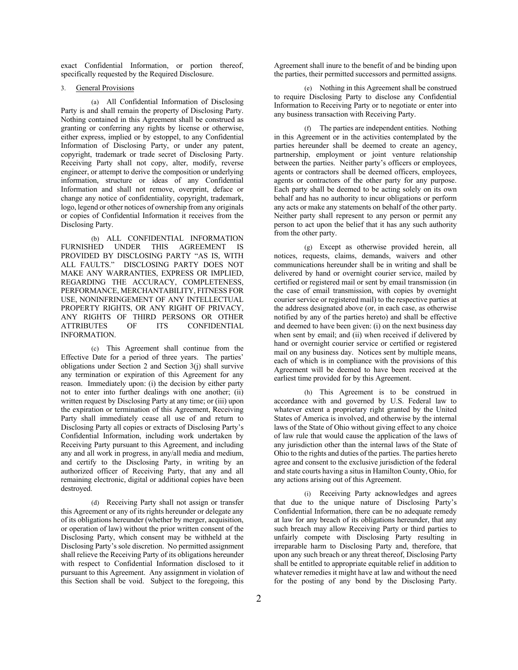exact Confidential Information, or portion thereof, specifically requested by the Required Disclosure.

### 3. General Provisions

(a) All Confidential Information of Disclosing Party is and shall remain the property of Disclosing Party. Nothing contained in this Agreement shall be construed as granting or conferring any rights by license or otherwise, either express, implied or by estoppel, to any Confidential Information of Disclosing Party, or under any patent, copyright, trademark or trade secret of Disclosing Party. Receiving Party shall not copy, alter, modify, reverse engineer, or attempt to derive the composition or underlying information, structure or ideas of any Confidential Information and shall not remove, overprint, deface or change any notice of confidentiality, copyright, trademark, logo, legend or other notices of ownership from any originals or copies of Confidential Information it receives from the Disclosing Party.

(b) ALL CONFIDENTIAL INFORMATION FURNISHED UNDER THIS AGREEMENT IS PROVIDED BY DISCLOSING PARTY "AS IS, WITH ALL FAULTS." DISCLOSING PARTY DOES NOT MAKE ANY WARRANTIES, EXPRESS OR IMPLIED, REGARDING THE ACCURACY, COMPLETENESS, PERFORMANCE, MERCHANTABILITY, FITNESS FOR USE, NONINFRINGEMENT OF ANY INTELLECTUAL PROPERTY RIGHTS, OR ANY RIGHT OF PRIVACY, ANY RIGHTS OF THIRD PERSONS OR OTHER<br>ATTRIBUTES OF ITS CONFIDENTIAL ATTRIBUTES OF ITS CONFIDENTIAL INFORMATION.

(c) This Agreement shall continue from the Effective Date for a period of three years. The parties' obligations under Section 2 and Section 3(j) shall survive any termination or expiration of this Agreement for any reason. Immediately upon: (i) the decision by either party not to enter into further dealings with one another; (ii) written request by Disclosing Party at any time; or (iii) upon the expiration or termination of this Agreement, Receiving Party shall immediately cease all use of and return to Disclosing Party all copies or extracts of Disclosing Party's Confidential Information, including work undertaken by Receiving Party pursuant to this Agreement, and including any and all work in progress, in any/all media and medium, and certify to the Disclosing Party, in writing by an authorized officer of Receiving Party, that any and all remaining electronic, digital or additional copies have been destroyed.

(d) Receiving Party shall not assign or transfer this Agreement or any of its rights hereunder or delegate any of its obligations hereunder (whether by merger, acquisition, or operation of law) without the prior written consent of the Disclosing Party, which consent may be withheld at the Disclosing Party's sole discretion. No permitted assignment shall relieve the Receiving Party of its obligations hereunder with respect to Confidential Information disclosed to it pursuant to this Agreement. Any assignment in violation of this Section shall be void. Subject to the foregoing, this

Agreement shall inure to the benefit of and be binding upon the parties, their permitted successors and permitted assigns.

(e) Nothing in this Agreement shall be construed to require Disclosing Party to disclose any Confidential Information to Receiving Party or to negotiate or enter into any business transaction with Receiving Party.

(f) The parties are independent entities. Nothing in this Agreement or in the activities contemplated by the parties hereunder shall be deemed to create an agency, partnership, employment or joint venture relationship between the parties. Neither party's officers or employees, agents or contractors shall be deemed officers, employees, agents or contractors of the other party for any purpose. Each party shall be deemed to be acting solely on its own behalf and has no authority to incur obligations or perform any acts or make any statements on behalf of the other party. Neither party shall represent to any person or permit any person to act upon the belief that it has any such authority from the other party.

(g) Except as otherwise provided herein, all notices, requests, claims, demands, waivers and other communications hereunder shall be in writing and shall be delivered by hand or overnight courier service, mailed by certified or registered mail or sent by email transmission (in the case of email transmission, with copies by overnight courier service or registered mail) to the respective parties at the address designated above (or, in each case, as otherwise notified by any of the parties hereto) and shall be effective and deemed to have been given: (i) on the next business day when sent by email; and (ii) when received if delivered by hand or overnight courier service or certified or registered mail on any business day. Notices sent by multiple means, each of which is in compliance with the provisions of this Agreement will be deemed to have been received at the earliest time provided for by this Agreement.

(h) This Agreement is to be construed in accordance with and governed by U.S. Federal law to whatever extent a proprietary right granted by the United States of America is involved, and otherwise by the internal laws of the State of Ohio without giving effect to any choice of law rule that would cause the application of the laws of any jurisdiction other than the internal laws of the State of Ohio to the rights and duties of the parties. The parties hereto agree and consent to the exclusive jurisdiction of the federal and state courts having a situs in Hamilton County, Ohio, for any actions arising out of this Agreement.

(i) Receiving Party acknowledges and agrees that due to the unique nature of Disclosing Party's Confidential Information, there can be no adequate remedy at law for any breach of its obligations hereunder, that any such breach may allow Receiving Party or third parties to unfairly compete with Disclosing Party resulting in irreparable harm to Disclosing Party and, therefore, that upon any such breach or any threat thereof, Disclosing Party shall be entitled to appropriate equitable relief in addition to whatever remedies it might have at law and without the need for the posting of any bond by the Disclosing Party.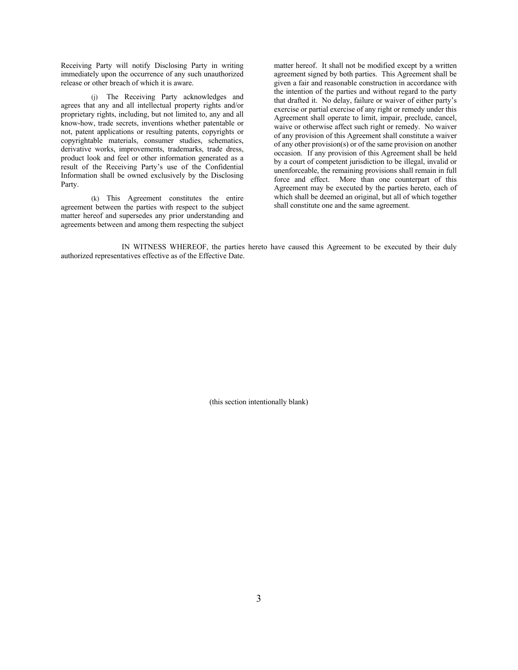Receiving Party will notify Disclosing Party in writing immediately upon the occurrence of any such unauthorized release or other breach of which it is aware.

(j) The Receiving Party acknowledges and agrees that any and all intellectual property rights and/or proprietary rights, including, but not limited to, any and all know-how, trade secrets, inventions whether patentable or not, patent applications or resulting patents, copyrights or copyrightable materials, consumer studies, schematics, derivative works, improvements, trademarks, trade dress, product look and feel or other information generated as a result of the Receiving Party's use of the Confidential Information shall be owned exclusively by the Disclosing Party.

(k) This Agreement constitutes the entire agreement between the parties with respect to the subject matter hereof and supersedes any prior understanding and agreements between and among them respecting the subject

matter hereof. It shall not be modified except by a written agreement signed by both parties. This Agreement shall be given a fair and reasonable construction in accordance with the intention of the parties and without regard to the party that drafted it. No delay, failure or waiver of either party's exercise or partial exercise of any right or remedy under this Agreement shall operate to limit, impair, preclude, cancel, waive or otherwise affect such right or remedy. No waiver of any provision of this Agreement shall constitute a waiver of any other provision(s) or of the same provision on another occasion. If any provision of this Agreement shall be held by a court of competent jurisdiction to be illegal, invalid or unenforceable, the remaining provisions shall remain in full force and effect. More than one counterpart of this Agreement may be executed by the parties hereto, each of which shall be deemed an original, but all of which together shall constitute one and the same agreement.

IN WITNESS WHEREOF, the parties hereto have caused this Agreement to be executed by their duly authorized representatives effective as of the Effective Date.

(this section intentionally blank)